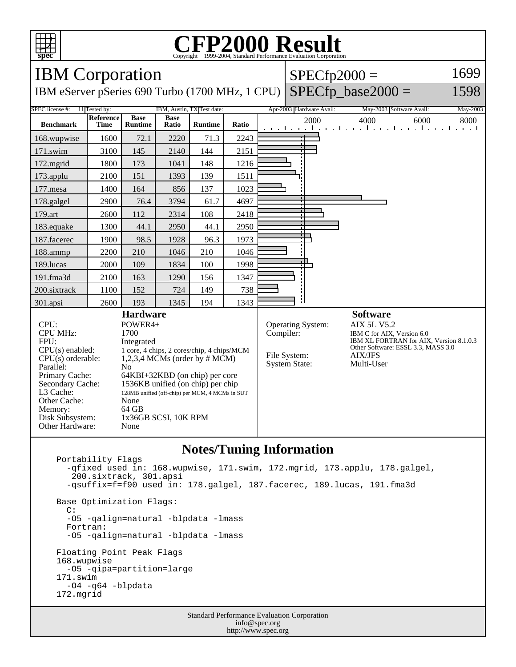

## **CFP2000 Result** Copyright ©1999-2004, Standard I

#### IBM Corporation  $SPECfp2000 =$ 1699  $SPECfp\_base2000 =$ IBM eServer pSeries 690 Turbo (1700 MHz, 1 CPU) 1598 SPEC license #: 11 Tested by: IBM, Austin, TX Test date: Apr-2003 Hardware Avail: May-2003 Software Avail: May-2003 **Reference Base Base Ratio Runtime Ratio** 2000 4000 6000 8000 **Benchmark Time Runtime** 168.wupwise 1600 72.1 2220 71.3 2243 171.swim | 3100 | 145 | 2140 | 144 | 2151 172.mgrid | 1800 | 173 | 1041 | 148 | 1216 173.applu | 2100 | 151 | 1393 | 139 | 1511 177.mesa | 1400 | 164 | 856 | 137 | 1023 178.galgel | 2900 | 76.4 | 3794 | 61.7 | 4697 ┑ 179.art 2600 112 2314 108 2418 183.equake 1300 44.1 2950 44.1 2950 187.facerec | 1900 | 98.5 | 1928 | 96.3 | 1973 188.ammp | 2200 | 210 | 1046 | 210 | 1046 189.lucas | 2000 | 109 | 1834 | 100 | 1998 191.fma3d 2100 163 1290 156 1347 200.sixtrack 1100 152 724 149 738 301.apsi 2600 193 1345 194 1343 **Hardware Software** CPU: POWER4+<br>CPU MHz: 1700 Operating System: AIX 5L V5.2<br>Compiler: IBM C for AIX, CPU MHz: IBM C for AIX, Version 6.0 IBM XL FORTRAN for AIX, Version 8.1.0.3 FPU: Integrated Other Software: ESSL 3.3, MASS 3.0 CPU(s) enabled: 1 core, 4 chips, 2 cores/chip, 4 chips/MCM File System: AIX/JFS CPU(s) orderable: 1,2,3,4 MCMs (order by # MCM) System State: Multi-User Parallel: No Primary Cache: 64KBI+32KBD (on chip) per core Secondary Cache: 1536KB unified (on chip) per chip L3 Cache: 128MB unified (off-chip) per MCM, 4 MCMs in SUT Other Cache: None<br>Memory: 64 GB Memory: Disk Subsystem: 1x36GB SCSI, 10K RPM Other Hardware: None

## **Notes/Tuning Information**

Standard Performance Evaluation Corporation Portability Flags -qfixed used in: 168.wupwise, 171.swim, 172.mgrid, 173.applu, 178.galgel, 200.sixtrack, 301.apsi -qsuffix=f=f90 used in: 178.galgel, 187.facerec, 189.lucas, 191.fma3d Base Optimization Flags: C: -O5 -qalign=natural -blpdata -lmass Fortran: -O5 -qalign=natural -blpdata -lmass Floating Point Peak Flags 168.wupwise -O5 -qipa=partition=large 171.swim -O4 -q64 -blpdata 172.mgrid

info@spec.org http://www.spec.org